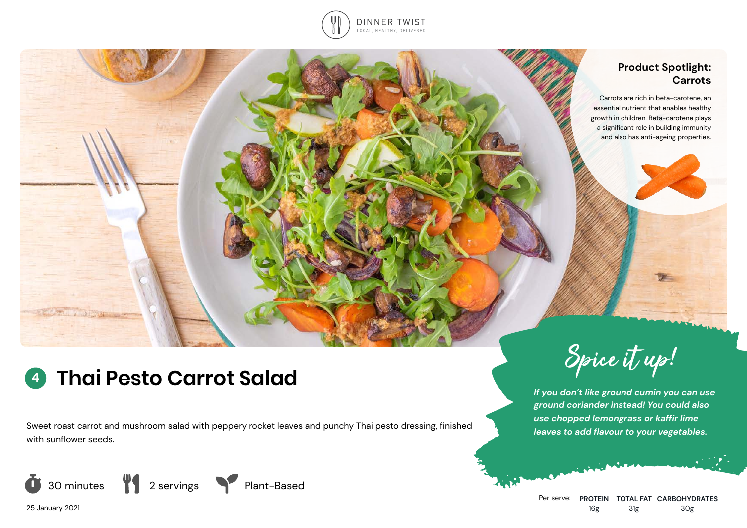

## **Product Spotlight: Carrots**

Carrots are rich in beta-carotene, an essential nutrient that enables healthy growth in children. Beta-carotene plays a significant role in building immunity and also has anti-ageing properties.

# **<sup>4</sup> Thai Pesto Carrot Salad**

Sweet roast carrot and mushroom salad with peppery rocket leaves and punchy Thai pesto dressing, finished with sunflower seeds.









*If you don't like ground cumin you can use ground coriander instead! You could also use chopped lemongrass or kaffir lime leaves to add flavour to your vegetables.*